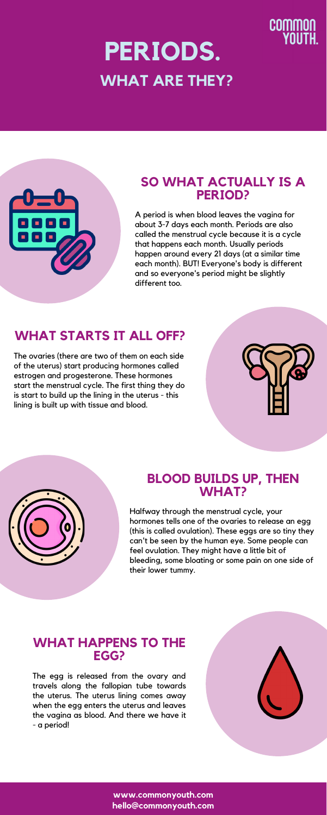#### **SO WHAT ACTUALLY IS A PERIOD?**

A period is when blood leaves the vagina for about 3-7 days each month. Periods are also called the menstrual cycle because it is a cycle that happens each month. Usually periods happen around every 21 days (at a similar time each month). BUT! Everyone's body is different and so everyone's period might be slightly different too.

# **PERIODS. WHAT ARE THEY?**



## **WHAT STARTS IT ALL OFF?**

The ovaries (there are two of them on each side of the uterus) start producing hormones called estrogen and progesterone. These hormones start the menstrual cycle. The first thing they do is start to build up the lining in the uterus - this lining is built up with tissue and blood.



#### **BLOOD BUILDS UP, THEN WHAT?**



Halfway through the menstrual cycle, your hormones tells one of the ovaries to release an egg (this is called ovulation). These eggs are so tiny they can't be seen by the human eye. Some people can feel ovulation. They might have a little bit of bleeding, some bloating or some pain on one side of their lower tummy.

#### **WHAT HAPPENS TO THE EGG?**

The egg is released from the ovary and travels along the fallopian tube towards the uterus. The uterus lining comes away when the egg enters the uterus and leaves the vagina as blood. And there we have it - a period!



**www.commonyouth.com hello@commonyouth.com**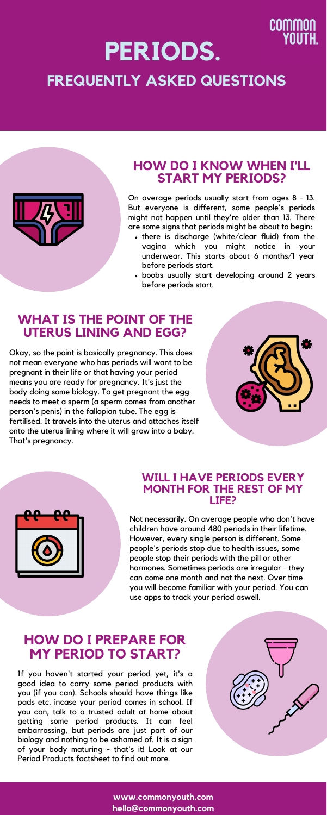### **WHAT IS THE POINT OF THE UTERUS LINING AND EGG?**

Okay, so the point is basically pregnancy. This does not mean everyone who has periods will want to be pregnant in their life or that having your period means you are ready for pregnancy. It's just the body doing some biology. To get pregnant the egg needs to meet a sperm (a sperm comes from another person's penis) in the fallopian tube. The egg is fertilised. It travels into the uterus and attaches itself onto the uterus lining where it will grow into a baby. That's pregnancy.



- there is discharge (white/clear fluid) from the vagina which you might notice in your underwear. This starts about 6 months/1 year before periods start.
- boobs usually start developing around 2 years before periods start.

#### **HOW DO I KNOW WHEN I'LL START MY PERIODS?**

On average periods usually start from ages 8 - 13. But everyone is different, some people's periods might not happen until they're older than 13. There are some signs that periods might be about to begin:

## **PERIODS. FREQUENTLY ASKED QUESTIONS**



#### **WILL I HAVE PERIODS EVERY MONTH FOR THE REST OF MY LIFE?**



Not necessarily. On average people who don't have children have around 480 periods in their lifetime. However, every single person is different. Some people's periods stop due to health issues, some people stop their periods with the pill or other hormones. Sometimes periods are irregular - they can come one month and not the next. Over time you will become familiar with your period. You can use apps to track your period aswell.

#### **HOW DO I PREPARE FOR MY PERIOD TO START?**

If you haven't started your period yet, it's a good idea to carry some period products with you (if you can). Schools should have things like pads etc. incase your period comes in school. If you can, talk to a trusted adult at home about getting some period products. It can feel embarrassing, but periods are just part of our biology and nothing to be ashamed of. It is a sign of your body maturing - that's it! Look at our Period Products factsheet to find out more.



**www.commonyouth.com hello@commonyouth.com**